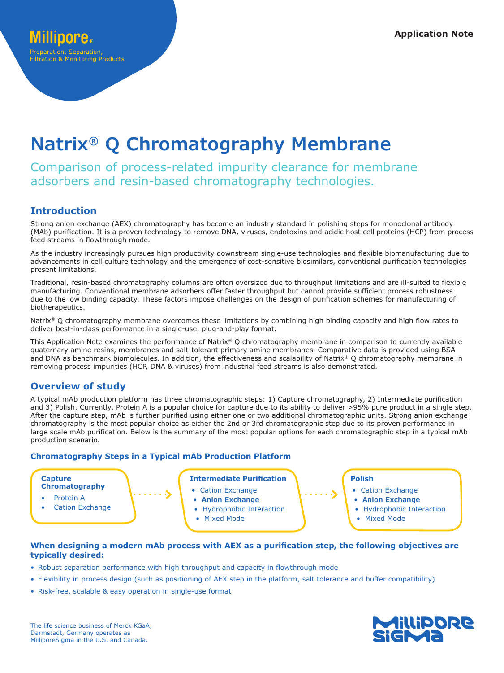# **Natrix® Q Chromatography Membrane**

Comparison of process-related impurity clearance for membrane adsorbers and resin-based chromatography technologies.

# **Introduction**

Strong anion exchange (AEX) chromatography has become an industry standard in polishing steps for monoclonal antibody (MAb) purification. It is a proven technology to remove DNA, viruses, endotoxins and acidic host cell proteins (HCP) from process feed streams in flowthrough mode.

As the industry increasingly pursues high productivity downstream single-use technologies and flexible biomanufacturing due to advancements in cell culture technology and the emergence of cost-sensitive biosimilars, conventional purification technologies present limitations.

Traditional, resin-based chromatography columns are often oversized due to throughput limitations and are ill-suited to flexible manufacturing. Conventional membrane adsorbers offer faster throughput but cannot provide sufficient process robustness due to the low binding capacity. These factors impose challenges on the design of purification schemes for manufacturing of biotherapeutics.

Natrix<sup>®</sup> Q chromatography membrane overcomes these limitations by combining high binding capacity and high flow rates to deliver best-in-class performance in a single-use, plug-and-play format.

This Application Note examines the performance of Natrix® Q chromatography membrane in comparison to currently available quaternary amine resins, membranes and salt-tolerant primary amine membranes. Comparative data is provided using BSA and DNA as benchmark biomolecules. In addition, the effectiveness and scalability of Natrix® Q chromatography membrane in removing process impurities (HCP, DNA & viruses) from industrial feed streams is also demonstrated.

## **Overview of study**

A typical mAb production platform has three chromatographic steps: 1) Capture chromatography, 2) Intermediate purification and 3) Polish. Currently, Protein A is a popular choice for capture due to its ability to deliver >95% pure product in a single step. After the capture step, mAb is further purified using either one or two additional chromatographic units. Strong anion exchange chromatography is the most popular choice as either the 2nd or 3rd chromatographic step due to its proven performance in large scale mAb purification. Below is the summary of the most popular options for each chromatographic step in a typical mAb production scenario.

## **Chromatography Steps in a Typical mAb Production Platform**



## **When designing a modern mAb process with AEX as a purification step, the following objectives are typically desired:**

- Robust separation performance with high throughput and capacity in flowthrough mode
- Flexibility in process design (such as positioning of AEX step in the platform, salt tolerance and buffer compatibility)
- Risk-free, scalable & easy operation in single-use format

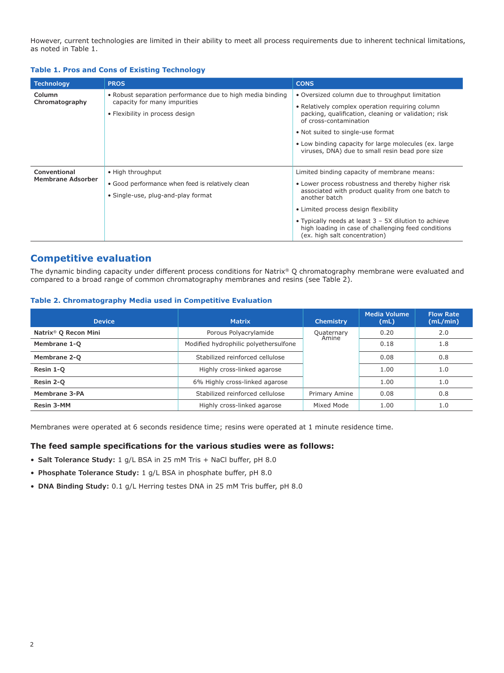However, current technologies are limited in their ability to meet all process requirements due to inherent technical limitations, as noted in Table 1.

#### **Table 1. Pros and Cons of Existing Technology**

| <b>Technology</b>                        | <b>PROS</b>                                                                                                                  | <b>CONS</b>                                                                                                                                                                                                                                                                                                                                                      |
|------------------------------------------|------------------------------------------------------------------------------------------------------------------------------|------------------------------------------------------------------------------------------------------------------------------------------------------------------------------------------------------------------------------------------------------------------------------------------------------------------------------------------------------------------|
| Column<br>Chromatography                 | • Robust separation performance due to high media binding<br>capacity for many impurities<br>• Flexibility in process design | • Oversized column due to throughput limitation<br>• Relatively complex operation requiring column<br>packing, qualification, cleaning or validation; risk<br>of cross-contamination<br>• Not suited to single-use format<br>• Low binding capacity for large molecules (ex. large<br>viruses, DNA) due to small resin bead pore size                            |
| Conventional<br><b>Membrane Adsorber</b> | • High throughput<br>• Good performance when feed is relatively clean<br>• Single-use, plug-and-play format                  | Limited binding capacity of membrane means:<br>• Lower process robustness and thereby higher risk<br>associated with product quality from one batch to<br>another batch<br>• Limited process design flexibility<br>• Typically needs at least 3 - 5X dilution to achieve<br>high loading in case of challenging feed conditions<br>(ex. high salt concentration) |

## **Competitive evaluation**

The dynamic binding capacity under different process conditions for Natrix® Q chromatography membrane were evaluated and compared to a broad range of common chromatography membranes and resins (see Table 2).

#### **Table 2. Chromatography Media used in Competitive Evaluation**

| <b>Device</b>                               | <b>Matrix</b>                         | <b>Chemistry</b>    | <b>Media Volume</b><br>(mL) | <b>Flow Rate</b><br>(mL/min) |
|---------------------------------------------|---------------------------------------|---------------------|-----------------------------|------------------------------|
| Natrix <sup>®</sup> Q Recon Mini            | Porous Polyacrylamide                 | Quaternary<br>Amine | 0.20                        | 2.0                          |
| Membrane 1-Q                                | Modified hydrophilic polyethersulfone |                     | 0.18                        | 1.8                          |
| Membrane 2-Q                                | Stabilized reinforced cellulose       |                     | 0.08                        | 0.8                          |
| Resin 1-Q                                   | Highly cross-linked agarose           |                     | 1.00                        | 1.0                          |
| Resin 2-Q<br>6% Highly cross-linked agarose |                                       |                     | 1.00                        | 1.0                          |
| Membrane 3-PA                               | Stabilized reinforced cellulose       | Primary Amine       | 0.08                        | 0.8                          |
| Resin 3-MM                                  | Highly cross-linked agarose           | Mixed Mode          | 1.00                        | 1.0                          |

Membranes were operated at 6 seconds residence time; resins were operated at 1 minute residence time.

## **The feed sample specifications for the various studies were as follows:**

- **Salt Tolerance Study:** 1 g/L BSA in 25 mM Tris + NaCl buffer, pH 8.0
- **Phosphate Tolerance Study:** 1 g/L BSA in phosphate buffer, pH 8.0
- **DNA Binding Study:** 0.1 g/L Herring testes DNA in 25 mM Tris buffer, pH 8.0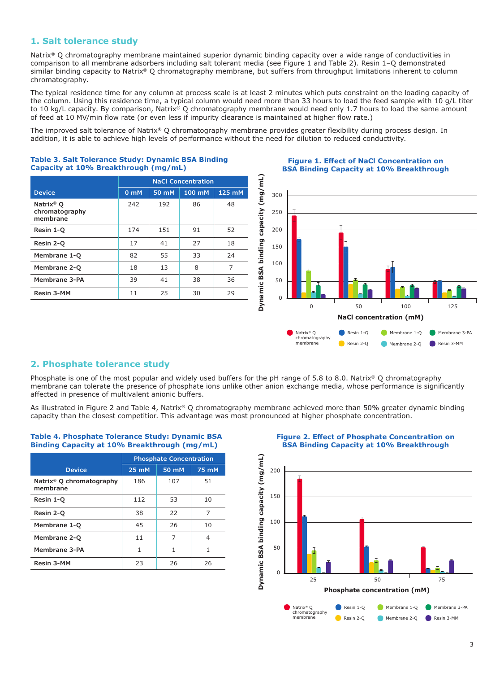## **1. Salt tolerance study**

Natrix® Q chromatography membrane maintained superior dynamic binding capacity over a wide range of conductivities in comparison to all membrane adsorbers including salt tolerant media (see Figure 1 and Table 2). Resin 1–Q demonstrated similar binding capacity to Natrix® Q chromatography membrane, but suffers from throughput limitations inherent to column chromatography.

The typical residence time for any column at process scale is at least 2 minutes which puts constraint on the loading capacity of the column. Using this residence time, a typical column would need more than 33 hours to load the feed sample with 10 g/L titer to 10 kg/L capacity. By comparison, Natrix<sup>®</sup> Q chromatography membrane would need only 1.7 hours to load the same amount of feed at 10 MV/min flow rate (or even less if impurity clearance is maintained at higher flow rate.)

The improved salt tolerance of Natrix® Q chromatography membrane provides greater flexibility during process design. In addition, it is able to achieve high levels of performance without the need for dilution to reduced conductivity.

## **NaCl Concentration Device 0 mM 50 mM 100 mM 125 mM Natrix® Q chromatography membrane** 242 192 86 48 **Resin 1-Q** 174 151 91 52 **Resin 2-Q** 17 | 41 | 27 | 18 **Membrane 1-Q** 82 55 33 24 **Membrane 2-Q** 18 13 8 7 **Membrane 3-PA** 39 41 38 36 **Resin 3-MM** 11 25 30 29

**Table 3. Salt Tolerance Study: Dynamic BSA Binding** 

**Capacity at 10% Breakthrough (mg/mL)**

#### **Figure 1. Effect of NaCl Concentration on BSA Binding Capacity at 10% Breakthrough**



## **2. Phosphate tolerance study**

Phosphate is one of the most popular and widely used buffers for the pH range of 5.8 to 8.0. Natrix® Q chromatography membrane can tolerate the presence of phosphate ions unlike other anion exchange media, whose performance is significantly affected in presence of multivalent anionic buffers.

As illustrated in Figure 2 and Table 4, Natrix® Q chromatography membrane achieved more than 50% greater dynamic binding capacity than the closest competitior. This advantage was most pronounced at higher phosphate concentration.

## **Binding Capacity at 10% Breakthrough (mg/mL) Phosphate Concentration Device 25 mM 50 mM 75 mM Natrix® Q chromatography membrane** 186 107 51 **Resin 1-Q** 112 53 10 **Resin 2-Q** 38 22 7 **Membrane 1-0** 10 45 26 10 **Membrane 2-0** 11 1 7 4 **Membrane 3-PA** 1 1 1 1 1 **Resin 3-MM** 23 26 26

**Table 4. Phosphate Tolerance Study: Dynamic BSA** 

**Figure 2. Effect of Phosphate Concentration on BSA Binding Capacity at 10% Breakthrough**

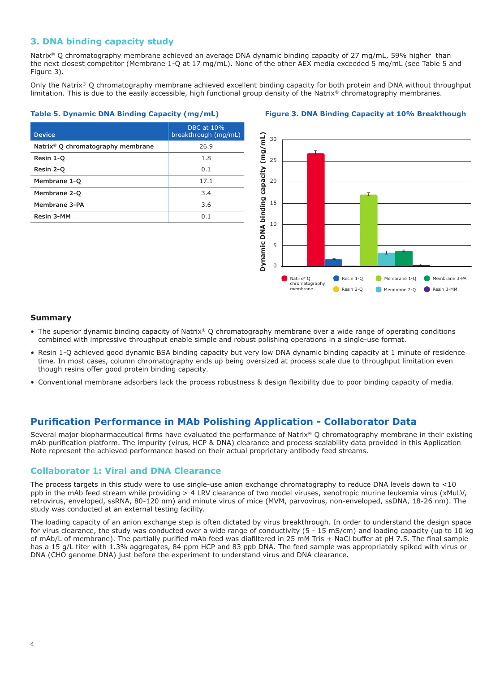## **3. DNA binding capacity study**

Natrix® Q chromatography membrane achieved an average DNA dynamic binding capacity of 27 mg/mL, 59% higher than the next closest competitor (Membrane 1-Q at 17 mg/mL). None of the other AEX media exceeded 5 mg/mL (see Table 5 and Figure 3).

Only the Natrix® Q chromatography membrane achieved excellent binding capacity for both protein and DNA without throughput limitation. This is due to the easily accessible, high functional group density of the Natrix® chromatography membranes.

| <b>Device</b>                                 | <b>DBC</b> at 10%<br>breakthrough (mg/mL) |
|-----------------------------------------------|-------------------------------------------|
| Natrix <sup>®</sup> Q chromatography membrane | 26.9                                      |
| Resin 1-Q                                     | 1.8                                       |
| Resin 2-Q                                     | 0.1                                       |
| Membrane 1-Q                                  | 17.1                                      |
| Membrane 2-Q                                  | 3.4                                       |
| Membrane 3-PA                                 | 3.6                                       |
| Resin 3-MM                                    | 0.1                                       |
|                                               |                                           |

#### **Table 5. Dynamic DNA Binding Capacity (mg/mL)**

#### **Figure 3. DNA Binding Capacity at 10% Breakthough**



#### **Summary**

- The superior dynamic binding capacity of Natrix® Q chromatography membrane over a wide range of operating conditions combined with impressive throughput enable simple and robust polishing operations in a single-use format.
- Resin 1-Q achieved good dynamic BSA binding capacity but very low DNA dynamic binding capacity at 1 minute of residence time. In most cases, column chromatography ends up being oversized at process scale due to throughput limitation even though resins offer good protein binding capacity.
- Conventional membrane adsorbers lack the process robustness & design flexibility due to poor binding capacity of media.

## **Purification Performance in MAb Polishing Application - Collaborator Data**

Several major biopharmaceutical firms have evaluated the performance of Natrix® Q chromatography membrane in their existing mAb purification platform. The impurity (virus, HCP & DNA) clearance and process scalability data provided in this Application Note represent the achieved performance based on their actual proprietary antibody feed streams.

## **Collaborator 1: Viral and DNA Clearance**

The process targets in this study were to use single-use anion exchange chromatography to reduce DNA levels down to <10 ppb in the mAb feed stream while providing > 4 LRV clearance of two model viruses, xenotropic murine leukemia virus (xMuLV, retrovirus, enveloped, ssRNA, 80-120 nm) and minute virus of mice (MVM, parvovirus, non-enveloped, ssDNA, 18-26 nm). The study was conducted at an external testing facility.

The loading capacity of an anion exchange step is often dictated by virus breakthrough. In order to understand the design space for virus clearance, the study was conducted over a wide range of conductivity (5 - 15 mS/cm) and loading capacity (up to 10 kg of mAb/L of membrane). The partially purified mAb feed was diafiltered in 25 mM Tris + NaCl buffer at pH 7.5. The final sample has a 15 g/L titer with 1.3% aggregates, 84 ppm HCP and 83 ppb DNA. The feed sample was appropriately spiked with virus or DNA (CHO genome DNA) just before the experiment to understand virus and DNA clearance.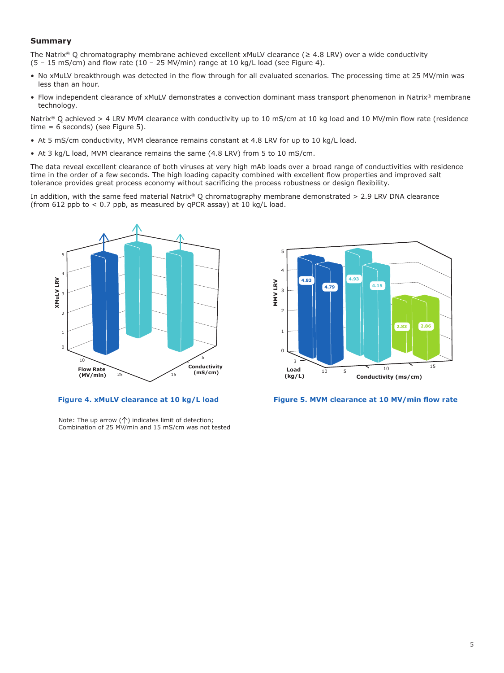## **Summary**

The Natrix® Q chromatography membrane achieved excellent xMuLV clearance (≥ 4.8 LRV) over a wide conductivity  $(5 - 15 \text{ mS/cm})$  and flow rate  $(10 - 25 \text{ MV/min})$  range at 10 kg/L load (see Figure 4).

- No xMuLV breakthrough was detected in the flow through for all evaluated scenarios. The processing time at 25 MV/min was less than an hour.
- Flow independent clearance of xMuLV demonstrates a convection dominant mass transport phenomenon in Natrix® membrane technology.

Natrix<sup>®</sup> Q achieved > 4 LRV MVM clearance with conductivity up to 10 mS/cm at 10 kg load and 10 MV/min flow rate (residence  $time = 6$  seconds) (see Figure 5).

- At 5 mS/cm conductivity, MVM clearance remains constant at 4.8 LRV for up to 10 kg/L load.
- At 3 kg/L load, MVM clearance remains the same (4.8 LRV) from 5 to 10 mS/cm.

The data reveal excellent clearance of both viruses at very high mAb loads over a broad range of conductivities with residence time in the order of a few seconds. The high loading capacity combined with excellent flow properties and improved salt tolerance provides great process economy without sacrificing the process robustness or design flexibility.

In addition, with the same feed material Natrix® Q chromatography membrane demonstrated > 2.9 LRV DNA clearance (from 612 ppb to  $<$  0.7 ppb, as measured by qPCR assay) at 10 kg/L load.



**Figure 4. xMuLV clearance at 10 kg/L load**

Note: The up arrow  $(\uparrow)$  indicates limit of detection; Combination of 25 MV/min and 15 mS/cm was not tested



**Figure 5. MVM clearance at 10 MV/min flow rate**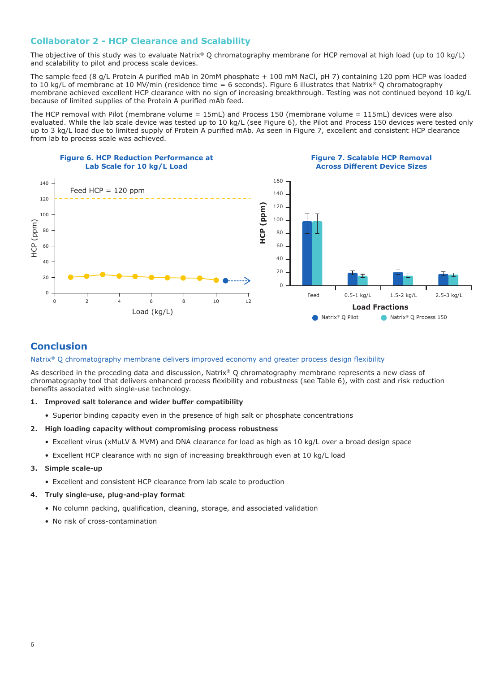## **Collaborator 2 - HCP Clearance and Scalability**

The objective of this study was to evaluate Natrix® Q chromatography membrane for HCP removal at high load (up to 10 kg/L) and scalability to pilot and process scale devices.

The sample feed (8 g/L Protein A purified mAb in 20mM phosphate + 100 mM NaCl, pH 7) containing 120 ppm HCP was loaded to 10 kg/L of membrane at 10 MV/min (residence time = 6 seconds). Figure 6 illustrates that Natrix® Q chromatography membrane achieved excellent HCP clearance with no sign of increasing breakthrough. Testing was not continued beyond 10 kg/L because of limited supplies of the Protein A purified mAb feed.

The HCP removal with Pilot (membrane volume = 15mL) and Process 150 (membrane volume = 115mL) devices were also evaluated. While the lab scale device was tested up to 10 kg/L (see Figure 6), the Pilot and Process 150 devices were tested only up to 3 kg/L load due to limited supply of Protein A purified mAb. As seen in Figure 7, excellent and consistent HCP clearance from lab to process scale was achieved.



## **Conclusion**

Natrix<sup>®</sup> Q chromatography membrane delivers improved economy and greater process design flexibility

As described in the preceding data and discussion, Natrix® Q chromatography membrane represents a new class of chromatography tool that delivers enhanced process flexibility and robustness (see Table 6), with cost and risk reduction benefits associated with single-use technology.

- **1. Improved salt tolerance and wider buffer compatibility** 
	- Superior binding capacity even in the presence of high salt or phosphate concentrations

#### **2. High loading capacity without compromising process robustness**

- Excellent virus (xMuLV & MVM) and DNA clearance for load as high as 10 kg/L over a broad design space
- Excellent HCP clearance with no sign of increasing breakthrough even at 10 kg/L load
- **3. Simple scale-up**
	- Excellent and consistent HCP clearance from lab scale to production
- **4. Truly single-use, plug-and-play format**
	- No column packing, qualification, cleaning, storage, and associated validation
	- No risk of cross-contamination